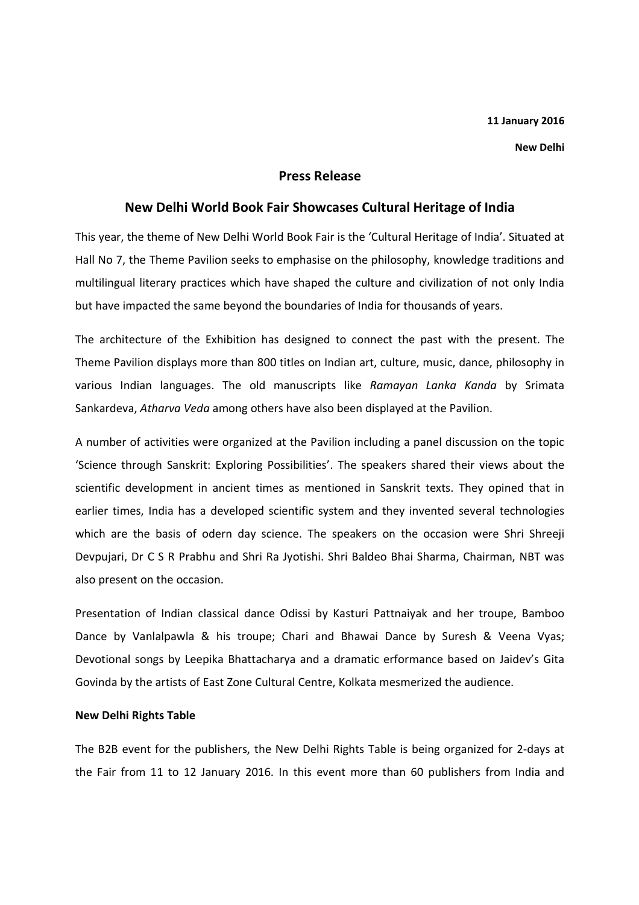New Delhi

# Press Release

# New Delhi World Book Fair Showcases Cultural Heritage of India

This year, the theme of New Delhi World Book Fair is the 'Cultural Heritage of India'. Situated at Hall No 7, the Theme Pavilion seeks to emphasise on the philosophy, knowledge traditions and multilingual literary practices which have shaped the culture and civilization of not only India but have impacted the same beyond the boundaries of India for thousands of years.

The architecture of the Exhibition has designed to connect the past with the present. The Theme Pavilion displays more than 800 titles on Indian art, culture, music, dance, philosophy in various Indian languages. The old manuscripts like Ramayan Lanka Kanda by Srimata Sankardeva, Atharva Veda among others have also been displayed at the Pavilion.

A number of activities were organized at the Pavilion including a panel discussion on the topic 'Science through Sanskrit: Exploring Possibilities'. The speakers shared their views about the scientific development in ancient times as mentioned in Sanskrit texts. They opined that in earlier times, India has a developed scientific system and they invented several technologies which are the basis of odern day science. The speakers on the occasion were Shri Shreeji Devpujari, Dr C S R Prabhu and Shri Ra Jyotishi. Shri Baldeo Bhai Sharma, Chairman, NBT was also present on the occasion.

Presentation of Indian classical dance Odissi by Kasturi Pattnaiyak and her troupe, Bamboo Dance by Vanlalpawla & his troupe; Chari and Bhawai Dance by Suresh & Veena Vyas; Devotional songs by Leepika Bhattacharya and a dramatic erformance based on Jaidev's Gita Govinda by the artists of East Zone Cultural Centre, Kolkata mesmerized the audience.

### New Delhi Rights Table

The B2B event for the publishers, the New Delhi Rights Table is being organized for 2-days at the Fair from 11 to 12 January 2016. In this event more than 60 publishers from India and